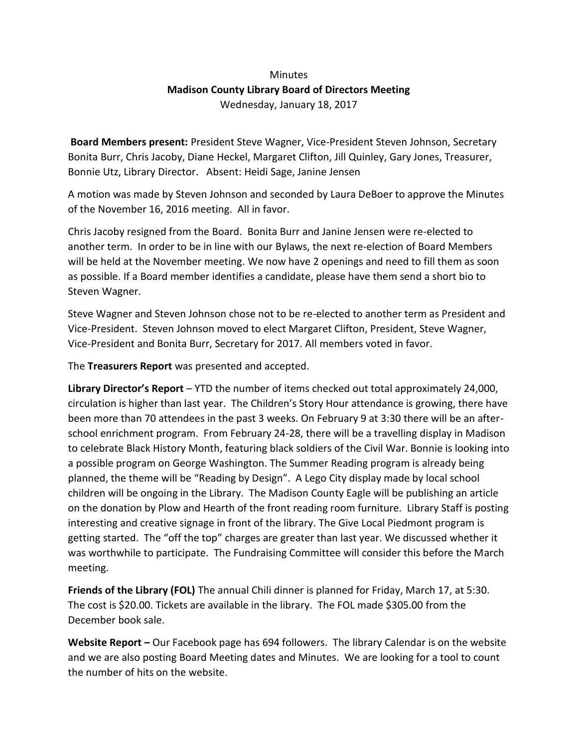## **Minutes Madison County Library Board of Directors Meeting** Wednesday, January 18, 2017

**Board Members present:** President Steve Wagner, Vice-President Steven Johnson, Secretary Bonita Burr, Chris Jacoby, Diane Heckel, Margaret Clifton, Jill Quinley, Gary Jones, Treasurer, Bonnie Utz, Library Director. Absent: Heidi Sage, Janine Jensen

A motion was made by Steven Johnson and seconded by Laura DeBoer to approve the Minutes of the November 16, 2016 meeting. All in favor.

Chris Jacoby resigned from the Board. Bonita Burr and Janine Jensen were re-elected to another term. In order to be in line with our Bylaws, the next re-election of Board Members will be held at the November meeting. We now have 2 openings and need to fill them as soon as possible. If a Board member identifies a candidate, please have them send a short bio to Steven Wagner.

Steve Wagner and Steven Johnson chose not to be re-elected to another term as President and Vice-President. Steven Johnson moved to elect Margaret Clifton, President, Steve Wagner, Vice-President and Bonita Burr, Secretary for 2017. All members voted in favor.

The **Treasurers Report** was presented and accepted.

**Library Director's Report** – YTD the number of items checked out total approximately 24,000, circulation is higher than last year. The Children's Story Hour attendance is growing, there have been more than 70 attendees in the past 3 weeks. On February 9 at 3:30 there will be an afterschool enrichment program. From February 24-28, there will be a travelling display in Madison to celebrate Black History Month, featuring black soldiers of the Civil War. Bonnie is looking into a possible program on George Washington. The Summer Reading program is already being planned, the theme will be "Reading by Design". A Lego City display made by local school children will be ongoing in the Library. The Madison County Eagle will be publishing an article on the donation by Plow and Hearth of the front reading room furniture. Library Staff is posting interesting and creative signage in front of the library. The Give Local Piedmont program is getting started. The "off the top" charges are greater than last year. We discussed whether it was worthwhile to participate. The Fundraising Committee will consider this before the March meeting.

**Friends of the Library (FOL)** The annual Chili dinner is planned for Friday, March 17, at 5:30. The cost is \$20.00. Tickets are available in the library. The FOL made \$305.00 from the December book sale.

**Website Report –** Our Facebook page has 694 followers. The library Calendar is on the website and we are also posting Board Meeting dates and Minutes. We are looking for a tool to count the number of hits on the website.